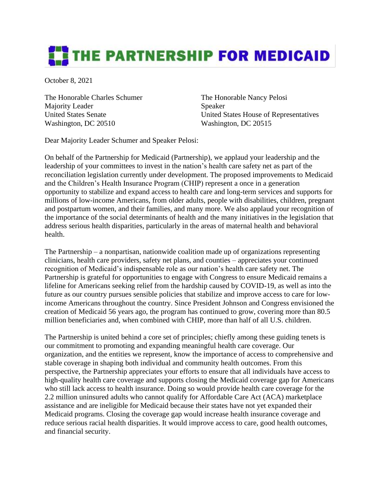## **THE PARTNERSHIP FOR MEDICAID**

October 8, 2021

The Honorable Charles Schumer The Honorable Nancy Pelosi Majority Leader Speaker Washington, DC 20510 Washington, DC 20515

United States Senate United States House of Representatives

Dear Majority Leader Schumer and Speaker Pelosi:

On behalf of the Partnership for Medicaid (Partnership), we applaud your leadership and the leadership of your committees to invest in the nation's health care safety net as part of the reconciliation legislation currently under development. The proposed improvements to Medicaid and the Children's Health Insurance Program (CHIP) represent a once in a generation opportunity to stabilize and expand access to health care and long-term services and supports for millions of low-income Americans, from older adults, people with disabilities, children, pregnant and postpartum women, and their families, and many more. We also applaud your recognition of the importance of the social determinants of health and the many initiatives in the legislation that address serious health disparities, particularly in the areas of maternal health and behavioral health.

The Partnership – a nonpartisan, nationwide coalition made up of organizations representing clinicians, health care providers, safety net plans, and counties – appreciates your continued recognition of Medicaid's indispensable role as our nation's health care safety net. The Partnership is grateful for opportunities to engage with Congress to ensure Medicaid remains a lifeline for Americans seeking relief from the hardship caused by COVID-19, as well as into the future as our country pursues sensible policies that stabilize and improve access to care for lowincome Americans throughout the country. Since President Johnson and Congress envisioned the creation of Medicaid 56 years ago, the program has continued to grow, covering more than 80.5 million beneficiaries and, when combined with CHIP, more than half of all U.S. children.

The Partnership is united behind a core set of principles; chiefly among these guiding tenets is our commitment to promoting and expanding meaningful health care coverage. Our organization, and the entities we represent, know the importance of access to comprehensive and stable coverage in shaping both individual and community health outcomes. From this perspective, the Partnership appreciates your efforts to ensure that all individuals have access to high-quality health care coverage and supports closing the Medicaid coverage gap for Americans who still lack access to health insurance. Doing so would provide health care coverage for the 2.2 million uninsured adults who cannot qualify for Affordable Care Act (ACA) marketplace assistance and are ineligible for Medicaid because their states have not yet expanded their Medicaid programs. Closing the coverage gap would increase health insurance coverage and reduce serious racial health disparities. It would improve access to care, good health outcomes, and financial security.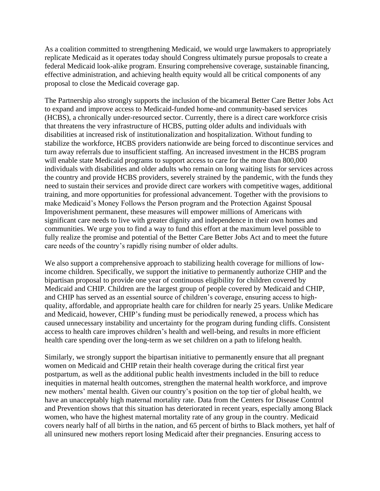As a coalition committed to strengthening Medicaid, we would urge lawmakers to appropriately replicate Medicaid as it operates today should Congress ultimately pursue proposals to create a federal Medicaid look-alike program. Ensuring comprehensive coverage, sustainable financing, effective administration, and achieving health equity would all be critical components of any proposal to close the Medicaid coverage gap.

The Partnership also strongly supports the inclusion of the bicameral Better Care Better Jobs Act to expand and improve access to Medicaid-funded home-and community-based services (HCBS), a chronically under-resourced sector. Currently, there is a direct care workforce crisis that threatens the very infrastructure of HCBS, putting older adults and individuals with disabilities at increased risk of institutionalization and hospitalization. Without funding to stabilize the workforce, HCBS providers nationwide are being forced to discontinue services and turn away referrals due to insufficient staffing. An increased investment in the HCBS program will enable state Medicaid programs to support access to care for the more than 800,000 individuals with disabilities and older adults who remain on long waiting lists for services across the country and provide HCBS providers, severely strained by the pandemic, with the funds they need to sustain their services and provide direct care workers with competitive wages, additional training, and more opportunities for professional advancement. Together with the provisions to make Medicaid's Money Follows the Person program and the Protection Against Spousal Impoverishment permanent, these measures will empower millions of Americans with significant care needs to live with greater dignity and independence in their own homes and communities. We urge you to find a way to fund this effort at the maximum level possible to fully realize the promise and potential of the Better Care Better Jobs Act and to meet the future care needs of the country's rapidly rising number of older adults.

We also support a comprehensive approach to stabilizing health coverage for millions of lowincome children. Specifically, we support the initiative to permanently authorize CHIP and the bipartisan proposal to provide one year of continuous eligibility for children covered by Medicaid and CHIP. Children are the largest group of people covered by Medicaid and CHIP, and CHIP has served as an essential source of children's coverage, ensuring access to highquality, affordable, and appropriate health care for children for nearly 25 years. Unlike Medicare and Medicaid, however, CHIP's funding must be periodically renewed, a process which has caused unnecessary instability and uncertainty for the program during funding cliffs. Consistent access to health care improves children's health and well-being, and results in more efficient health care spending over the long-term as we set children on a path to lifelong health.

Similarly, we strongly support the bipartisan initiative to permanently ensure that all pregnant women on Medicaid and CHIP retain their health coverage during the critical first year postpartum, as well as the additional public health investments included in the bill to reduce inequities in maternal health outcomes, strengthen the maternal health workforce, and improve new mothers' mental health. Given our country's position on the top tier of global health, we have an unacceptably high maternal mortality rate. Data from the Centers for Disease Control and Prevention shows that this situation has deteriorated in recent years, especially among Black women, who have the highest maternal mortality rate of any group in the country. Medicaid covers nearly half of all births in the nation, and 65 percent of births to Black mothers, yet half of all uninsured new mothers report losing Medicaid after their pregnancies. Ensuring access to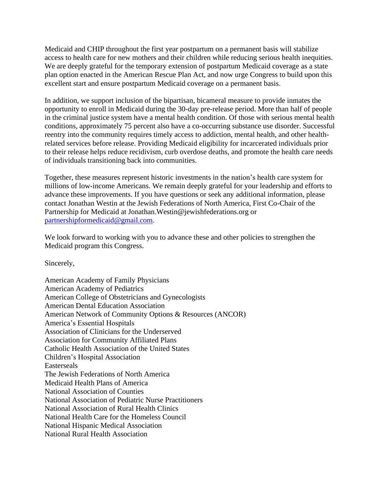Medicaid and CHIP throughout the first year postpartum on a permanent basis will stabilize access to health care for new mothers and their children while reducing serious health inequities. We are deeply grateful for the temporary extension of postpartum Medicaid coverage as a state plan option enacted in the American Rescue Plan Act, and now urge Congress to build upon this excellent start and ensure postpartum Medicaid coverage on a permanent basis.

In addition, we support inclusion of the bipartisan, bicameral measure to provide inmates the opportunity to enroll in Medicaid during the 30-day pre-release period. More than half of people in the criminal justice system have a mental health condition. Of those with serious mental health conditions, approximately 75 percent also have a co-occurring substance use disorder. Successful reentry into the community requires timely access to addiction, mental health, and other healthrelated services before release. Providing Medicaid eligibility for incarcerated individuals prior to their release helps reduce recidivism, curb overdose deaths, and promote the health care needs of individuals transitioning back into communities.

Together, these measures represent historic investments in the nation's health care system for millions of low-income Americans. We remain deeply grateful for your leadership and efforts to advance these improvements. If you have questions or seek any additional information, please contact Jonathan Westin at the Jewish Federations of North America, First Co-Chair of the Partnership for Medicaid at Jonathan.Westin@jewishfederations.org or [partnershipformedicaid@gmail.com.](mailto:partnershipformedicaid@gmail.com)

We look forward to working with you to advance these and other policies to strengthen the Medicaid program this Congress.

Sincerely,

American Academy of Family Physicians American Academy of Pediatrics American College of Obstetricians and Gynecologists American Dental Education Association American Network of Community Options & Resources (ANCOR) America's Essential Hospitals Association of Clinicians for the Underserved Association for Community Affiliated Plans Catholic Health Association of the United States Children's Hospital Association Easterseals The Jewish Federations of North America Medicaid Health Plans of America National Association of Counties National Association of Pediatric Nurse Practitioners National Association of Rural Health Clinics National Health Care for the Homeless Council National Hispanic Medical Association National Rural Health Association